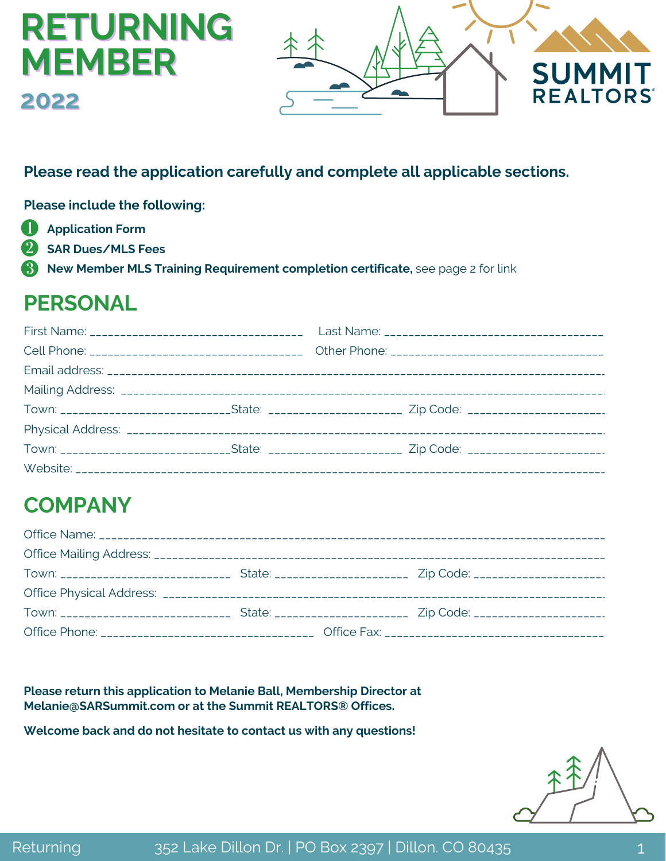# **RETURNING MEMBER 2022**



#### **Please read the application carefully and complete all applicable sections.**

**Please include the following:**

- O **Application Form**
- **SAR Dues/MLS Fees** 2
- 3) **New Member MLS Training Requirement completion certificate,** see page 2 for link

## **PERSONAL**

| Town: ______________________________State: ________________________ Zip Code: ______________________ |  |  |
|------------------------------------------------------------------------------------------------------|--|--|
|                                                                                                      |  |  |
|                                                                                                      |  |  |
|                                                                                                      |  |  |

# **COMPANY**

**Please return this application to Melanie Ball, Membership Director at Melanie@SARSummit.com or at the Summit REALTORS® Offices.**

**Welcome back and do not hesitate to contact us with any questions!**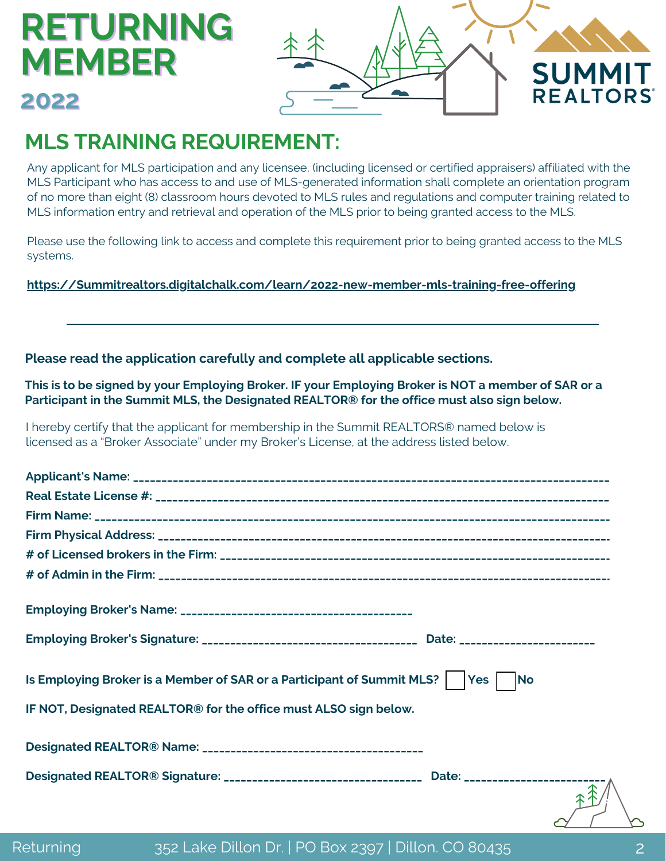# **RETURNING MEMBER**



## **2022**

# **MLS TRAINING REQUIREMENT:**

Any applicant for MLS participation and any licensee, (including licensed or certified appraisers) affiliated with the MLS Participant who has access to and use of MLS-generated information shall complete an orientation program of no more than eight (8) classroom hours devoted to MLS rules and regulations and computer training related to MLS information entry and retrieval and operation of the MLS prior to being granted access to the MLS.

Please use the following link to access and complete this requirement prior to being granted access to the MLS systems.

**[https://Summitrealtors.digitalchalk.com/learn/2022-new-member-mls-training-free-offering](https://summitrealtors.digitalchalk.com/learn/2022-new-member-mls-training-free-offering)**

#### **Please read the application carefully and complete all applicable sections.**

This is to be signed by your Employing Broker. IF your Employing Broker is NOT a member of SAR or a **Participant in the Summit MLS, the Designated REALTOR® for the office must also sign below.**

I hereby certify that the applicant for membership in the Summit REALTORS® named below is licensed as a "Broker Associate" under my Broker's License, at the address listed below.

| Is Employing Broker is a Member of SAR or a Participant of Summit MLS?    Yes    No      |
|------------------------------------------------------------------------------------------|
| IF NOT, Designated REALTOR® for the office must ALSO sign below.                         |
|                                                                                          |
| Designated REALTOR® Signature: _________________________________ Date: _________________ |
|                                                                                          |